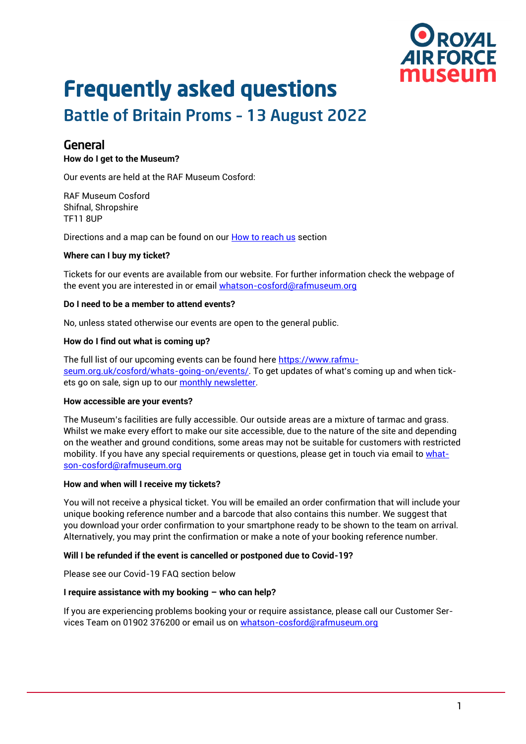

# Frequently asked questions

# Battle of Britain Proms – 13 August 2022

### General

#### **How do I get to the Museum?**

Our events are held at the RAF Museum Cosford:

RAF Museum Cosford Shifnal, Shropshire TF11 8UP

Directions and a map can be found on our [How to reach us](https://www.rafmuseum.org.uk/cosford/plan-your-day/maps-and-directions.aspx) section

#### **Where can I buy my ticket?**

Tickets for our events are available from our website. For further information check the webpage of the event you are interested in or email [whatson-cosford@rafmuseum.org](mailto:whatson-cosford@rafmuseum.org)

#### **Do I need to be a member to attend events?**

No, unless stated otherwise our events are open to the general public.

#### **How do I find out what is coming up?**

The full list of our upcoming events can be found here [https://www.rafmu](https://www.rafmuseum.org.uk/cosford/whats-going-on/events/)[seum.org.uk/cosford/whats-going-on/events/](https://www.rafmuseum.org.uk/cosford/whats-going-on/events/). To get updates of what's coming up and when tickets go on sale, sign up to our [monthly newsletter.](https://30229adb.sibforms.com/serve/MUIEAOX1m05LLb7YSUV6RxULgDKeTM_iKMNTGg-JnBjVfI-1qsJ2NsVpGKeGnGMCTnkdPyISSc71t5A5ZHFMbK_SAd536j8nsV6lDDWZ26PvwOWV9eM9FImOUHPPxEaJsuxO38InIpXmYcGJ-m7nSXZc2eGKlChMTQ2N2IJ-0Py0CblJ0oPElcT7PdktdgQp3bMQLo1s2bBYF_Iu)

#### **How accessible are your events?**

The Museum's facilities are fully accessible. Our outside areas are a mixture of tarmac and grass. Whilst we make every effort to make our site accessible, due to the nature of the site and depending on the weather and ground conditions, some areas may not be suitable for customers with restricted mobility. If you have any special requirements or questions, please get in touch via email to [what](mailto:whatson-cosford@rafmuseum.org)[son-cosford@rafmuseum.org](mailto:whatson-cosford@rafmuseum.org)

#### **How and when will I receive my tickets?**

You will not receive a physical ticket. You will be emailed an order confirmation that will include your unique booking reference number and a barcode that also contains this number. We suggest that you download your order confirmation to your smartphone ready to be shown to the team on arrival. Alternatively, you may print the confirmation or make a note of your booking reference number.

#### **Will I be refunded if the event is cancelled or postponed due to Covid-19?**

Please see our Covid-19 FAQ section below

#### **I require assistance with my booking – who can help?**

If you are experiencing problems booking your or require assistance, please call our Customer Services Team on 01902 376200 or email us on [whatson-cosford@rafmuseum.org](mailto:whatson-cosford@rafmuseum.org)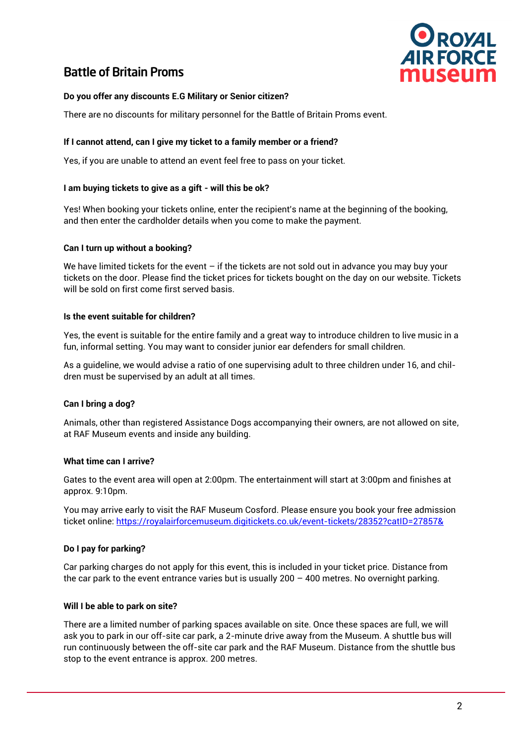

## Battle of Britain Proms

#### **Do you offer any discounts E.G Military or Senior citizen?**

There are no discounts for military personnel for the Battle of Britain Proms event.

#### **If I cannot attend, can I give my ticket to a family member or a friend?**

Yes, if you are unable to attend an event feel free to pass on your ticket.

#### **[I am buying tickets to give as a gift -](https://www.battleproms.com/#i-am-buying-tickets-to-give-as-a-gift-will-this-be-ok) will this be ok?**

Yes! When booking your tickets online, enter the recipient's name at the beginning of the booking, and then enter the cardholder details when you come to make the payment.

#### **Can I turn up without a booking?**

We have limited tickets for the event  $-$  if the tickets are not sold out in advance you may buy your tickets on the door. Please find the ticket prices for tickets bought on the day on our website. Tickets will be sold on first come first served basis.

#### **[Is the event suitable for children?](https://www.battleproms.com/#is-the-event-suitable-for-children)**

Yes, the event is suitable for the entire family and a great way to introduce children to live music in a fun, informal setting. You may want to consider junior ear defenders for small children.

As a guideline, we would advise a ratio of one supervising adult to three children under 16, and children must be supervised by an adult at all times.

#### **Can I bring a dog?**

Animals, other than registered Assistance Dogs accompanying their owners, are not allowed on site, at RAF Museum events and inside any building.

#### **What time can I arrive?**

Gates to the event area will open at 2:00pm. The entertainment will start at 3:00pm and finishes at approx. 9:10pm.

You may arrive early to visit the RAF Museum Cosford. Please ensure you book your free admission ticket online[: https://royalairforcemuseum.digitickets.co.uk/event-tickets/28352?catID=27857&](https://royalairforcemuseum.digitickets.co.uk/event-tickets/28352?catID=27857&)

#### **Do I pay for parking?**

Car parking charges do not apply for this event, this is included in your ticket price. Distance from the car park to the event entrance varies but is usually  $200 - 400$  metres. No overnight parking.

#### **Will I be able to park on site?**

There are a limited number of parking spaces available on site. Once these spaces are full, we will ask you to park in our off-site car park, a 2-minute drive away from the Museum. A shuttle bus will run continuously between the off-site car park and the RAF Museum. Distance from the shuttle bus stop to the event entrance is approx. 200 metres.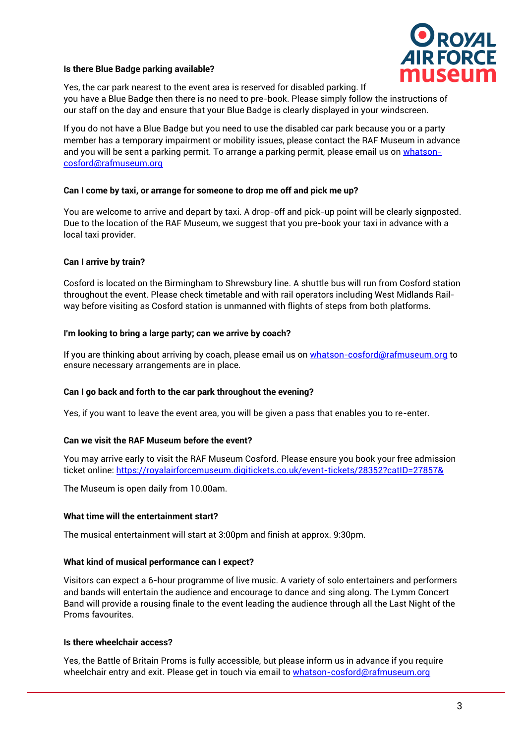

#### **[Is there Blue Badge parking available?](https://www.battleproms.com/#is-there-disabled-car-parking-available)**

Yes, the car park nearest to the event area is reserved for disabled parking. If you have a Blue Badge then there is no need to pre-book. Please simply follow the instructions of our staff on the day and ensure that your Blue Badge is clearly displayed in your windscreen.

If you do not have a Blue Badge but you need to use the disabled car park because you or a party member has a temporary impairment or mobility issues, please contact the RAF Museum in advance and you will be sent a parking permit. To arrange a parking permit, please email us on [whatson](mailto:whatson-cosford@rafmuseum.org)[cosford@rafmuseum.org](mailto:whatson-cosford@rafmuseum.org)

#### **[Can I come by taxi, or arrange for someone to drop me off and pick me up?](https://www.battleproms.com/#can-i-come-by-taxi-or-arrange-for-someone-to-drop-me-off-and-pick-me-up)**

You are welcome to arrive and depart by taxi. A drop-off and pick-up point will be clearly signposted. Due to the location of the RAF Museum, we suggest that you pre-book your taxi in advance with a local taxi provider.

#### **Can I arrive by train?**

Cosford is located on the Birmingham to Shrewsbury line. A shuttle bus will run from Cosford station throughout the event. Please check timetable and with rail operators including West Midlands Railway before visiting as Cosford station is unmanned with flights of steps from both platforms.

#### **[I'm looking to bring a large party; can we arrive by coach?](https://www.battleproms.com/#i-m-looking-to-bring-a-large-party-can-we-arrive-by-coach)**

If you are thinking about arriving by coach, please email us on [whatson-cosford@rafmuseum.org](mailto:whatson-cosford@rafmuseum.org) to ensure necessary arrangements are in place.

#### **[Can I go back and forth to the car park throughout the evening?](https://www.battleproms.com/#can-i-go-back-and-forth-to-the-car-park-throughout-the-evening)**

Yes, if you want to leave the event area, you will be given a pass that enables you to re-enter.

#### **Can we visit the RAF Museum before the event?**

You may arrive early to visit the RAF Museum Cosford. Please ensure you book your free admission ticket online[: https://royalairforcemuseum.digitickets.co.uk/event-tickets/28352?catID=27857&](https://royalairforcemuseum.digitickets.co.uk/event-tickets/28352?catID=27857&)

The Museum is open daily from 10.00am.

#### **What time will the entertainment start?**

The musical entertainment will start at 3:00pm and finish at approx. 9:30pm.

#### **What kind of musical performance can I expect?**

Visitors can expect a 6-hour programme of live music. A variety of solo entertainers and performers and bands will entertain the audience and encourage to dance and sing along. The Lymm Concert Band will provide a rousing finale to the event leading the audience through all the Last Night of the Proms favourites.

#### **Is there wheelchair access?**

Yes, the Battle of Britain Proms is fully accessible, but please inform us in advance if you require wheelchair entry and exit. Please get in touch via email to [whatson-cosford@rafmuseum.org](mailto:whatson-cosford@rafmuseum.org)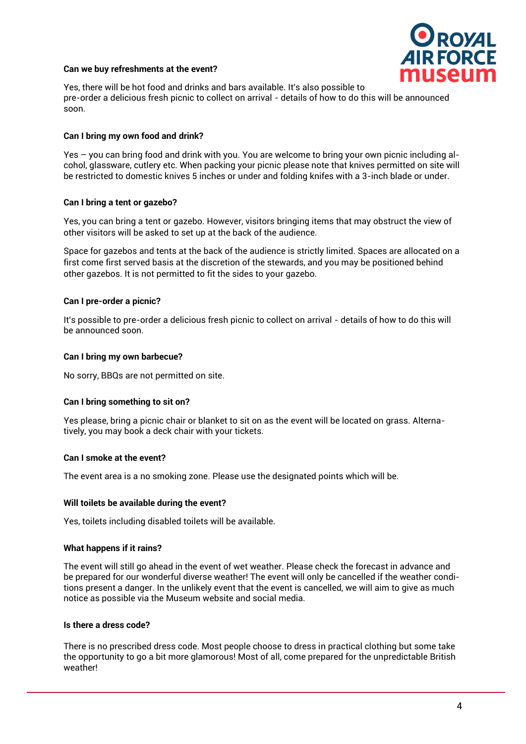#### **Can we buy refreshments at the event?**



Yes, there will be hot food and drinks and bars available. It's also possible to pre-order a delicious fresh picnic to collect on arrival - details of how to do this will be announced soon.

#### **Can I bring my own food and drink?**

Yes – you can bring food and drink with you. You are welcome to bring your own picnic including alcohol, glassware, cutlery etc. When packing your picnic please note that knives permitted on site will be restricted to domestic knives 5 inches or under and folding knifes with a 3-inch blade or under.

#### **Can I bring a tent or gazebo?**

Yes, you can bring a tent or gazebo. However, visitors bringing items that may obstruct the view of other visitors will be asked to set up at the back of the audience.

Space for gazebos and tents at the back of the audience is strictly limited. Spaces are allocated on a first come first served basis at the discretion of the stewards, and you may be positioned behind other gazebos. It is not permitted to fit the sides to your gazebo.

#### **Can I pre-order a picnic?**

It's possible to pre-order a delicious fresh picnic to collect on arrival - details of how to do this will be announced soon.

#### **Can I bring my own barbecue?**

No sorry, BBQs are not permitted on site.

#### **Can I bring something to sit on?**

Yes please, bring a picnic chair or blanket to sit on as the event will be located on grass. Alternatively, you may book a deck chair with your tickets.

#### **Can I smoke at the event?**

The event area is a no smoking zone. Please use the designated points which will be.

#### **Will toilets be available during the event?**

Yes, toilets including disabled toilets will be available.

#### **What happens if it rains?**

The event will still go ahead in the event of wet weather. Please check the forecast in advance and be prepared for our wonderful diverse weather! The event will only be cancelled if the weather conditions present a danger. In the unlikely event that the event is cancelled, we will aim to give as much notice as possible via the Museum website and social media.

#### **[Is there a dress code?](https://www.battleproms.com/#is-there-a-dress-code)**

There is no prescribed dress code. Most people choose to dress in practical clothing but some take the opportunity to go a bit more glamorous! Most of all, come prepared for the unpredictable British weather!